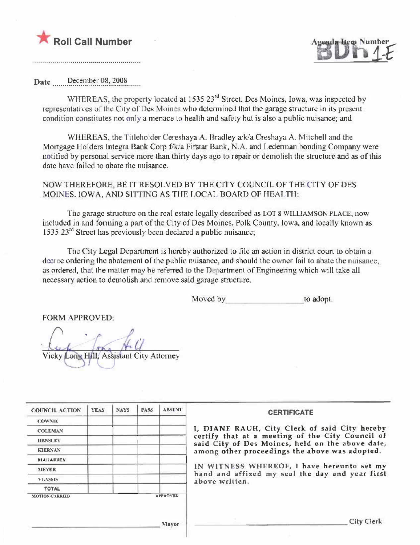



Date December 08, 2008

WHEREAS, the property located at 1535 23<sup>rd</sup> Street. Des Moines, Iowa, was inspected by representatives of the City of Des Moines who determined that the garage structure in its present condition constitutes not only a menace to health and safety but is also a public nuisance; and

WHEREAS, the Titleholder Cereshaya A. Bradley a/k/a Creshaya A. Mitchell and the Mortgage Holders Integra Bank Corp f/k/a Firstar Bank, N.A. and Lederman bonding Company were notified by personal service more than thirty days ago to repair or demolish the structure and as of this date have failed to abate the nuisance.

NOW THEREFORE, BE IT RESOLVED BY THE CITY COUNCIL OF THE CITY OF DES MOINES, IOWA, AND SITTING AS THE LOCAL BOARD OF HEALTH:

The garage structure on the real estate legally described as LOT 8 WILLIAMSON PLACE, now included in and forming a part of the City of Des Moines, Polk County, Iowa, and locally known as 1535.23<sup>rd</sup> Street has previously been declared a public nuisance;

The City Legal Department is hereby authorized to file an action in district court to obtain a decree ordering the abatement of the public nuisance, and should the owner fail to abate the nuisance, as ordered, that the matter may be referred to the Department of Engineering which will take all necessary action to demolish and remove said garage structure.

> Moved by to adopt.

**FORM APPROVED:** 

Vicky Long Hill, Assistant City Attorney

| <b>COUNCIL ACTION</b> | <b>YEAS</b> | <b>NAYS</b> | PASS <sub></sub> | <b>ABSENT</b>   | <b>CERTIFICATE</b>                                                                                |
|-----------------------|-------------|-------------|------------------|-----------------|---------------------------------------------------------------------------------------------------|
| <b>COWNIE</b>         |             |             |                  |                 |                                                                                                   |
| <b>COLEMAN</b>        |             |             |                  |                 | I, DIANE RAUH, City Clerk of said City hereby<br>certify that at a meeting of the City Council of |
| HENSE EY              |             |             |                  |                 | said City of Des Moines, held on the above date,                                                  |
| <b>KIERNAN</b>        |             |             |                  |                 | among other proceedings the above was adopted.                                                    |
| <b>MAHAFFEY</b>       |             |             |                  |                 |                                                                                                   |
| <b>MEYER</b>          |             |             |                  |                 | IN WITNESS WHEREOF, I have hereunto set my<br>hand and affixed my seal the day and year first     |
| VI.ASSIS              |             |             |                  |                 | above written.                                                                                    |
| <b>TOTAL</b>          |             |             |                  |                 |                                                                                                   |
| <b>MOTION CARRIED</b> |             |             |                  | <b>APPROVED</b> |                                                                                                   |
|                       |             |             |                  | Mayor           | City Clerk                                                                                        |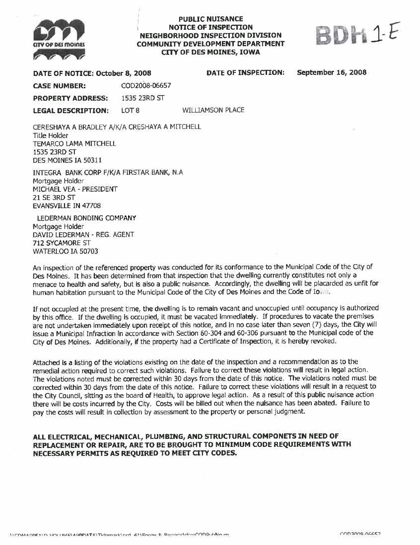

## **PUBLIC NUISANCE NOTICE OF INSPECTION** NEIGHBORHOOD INSPECTION DIVISION **COMMUNITY DEVELOPMENT DEPARTMENT CITY OF DES MOINES, IOWA**



DATE OF NOTICE: October 8, 2008

DATE OF INSPECTION:

**September 16, 2008** 

COD2008-06657 **CASE NUMBER:** 

**PROPERTY ADDRESS:** 1535 23RD ST

LOT<sub>8</sub> **LEGAL DESCRIPTION:** 

**WILLIAMSON PLACE** 

CERESHAYA A BRADLEY A/K/A CRESHAYA A MITCHELL **Title Holder** TEMARCO LAMA MITCHELL 1535 23RD ST DES MOINES IA 50311

INTEGRA BANK CORP F/K/A FIRSTAR BANK, N.A. Mortgage Holder MICHAEL VEA - PRESIDENT 21 SE 3RD ST **EVANSVILLE IN 47708** 

LEDERMAN BONDING COMPANY Mortgage Holder DAVID LEDERMAN - REG. AGENT 712 SYCAMORE ST **WATERLOO IA 50703** 

An inspection of the referenced property was conducted for its conformance to the Municipal Code of the City of Des Moines. It has been determined from that inspection that the dwelling currently constitutes not only a menace to health and safety, but is also a public nuisance. Accordingly, the dwelling will be placarded as unfit for human habitation pursuant to the Municipal Code of the City of Des Moines and the Code of Io. ...

If not occupied at the present time, the dwelling is to remain vacant and unoccupied until occupancy is authorized by this office. If the dwelling is occupied, it must be vacated immediately. If procedures to vacate the premises are not undertaken immediately upon receipt of this notice, and in no case later than seven (7) days, the City will issue a Municipal Infraction in accordance with Section 60-304 and 60-306 pursuant to the Municipal code of the City of Des Moines. Additionally, if the property had a Certificate of Inspection, it is hereby revoked.

Attached is a listing of the violations existing on the date of the inspection and a recommendation as to the remedial action required to correct such violations. Failure to correct these violations will result in legal action. The violations noted must be corrected within 30 days from the date of this notice. The violations noted must be corrected within 30 days from the date of this notice. Failure to correct these violations will result in a request to the City Council, sitting as the board of Health, to approve legal action. As a result of this public nuisance action there will be costs incurred by the City. Costs will be billed out when the nuisance has been abated. Failure to pay the costs will result in collection by assessment to the property or personal judgment.

## ALL ELECTRICAL, MECHANICAL, PLUMBING, AND STRUCTURAL COMPONETS IN NEED OF REPLACEMENT OR REPAIR, ARE TO BE BROUGHT TO MINIMUM CODE REQUIREMENTS WITH NECESSARY PERMITS AS REQUIRED TO MEET CITY CODES.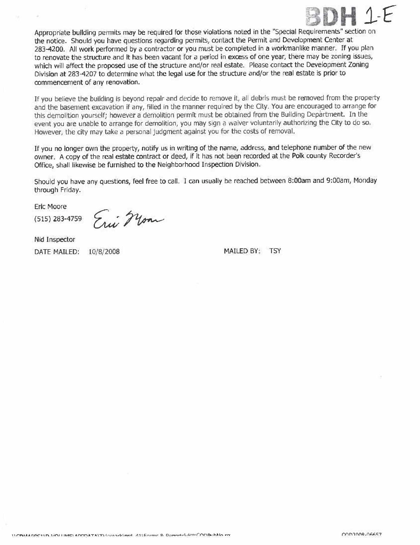

Appropriate building permits may be required for those violations noted in the "Special Requirements" section on the notice. Should you have questions regarding permits, contact the Permit and Development Center at 283-4200. All work performed by a contractor or you must be completed in a workmanlike manner. If you plan to renovate the structure and it has been vacant for a period in excess of one year, there may be zoning issues, which will affect the proposed use of the structure and/or real estate. Please contact the Development Zoning Division at 283-4207 to determine what the legal use for the structure and/or the real estate is prior to commencement of any renovation.

If you believe the building is beyond repair and decide to remove it, all debris must be removed from the property and the basement excavation if any, filled in the manner required by the City. You are encouraged to arrange for this demolition yourself; however a demolition permit must be obtained from the Building Department. In the event you are unable to arrange for demolition, you may sign a waiver voluntarily authorizing the City to do so. However, the city may take a personal judgment against you for the costs of removal.

If you no longer own the property, notify us in writing of the name, address, and telephone number of the new owner. A copy of the real estate contract or deed, if it has not been recorded at the Polk county Recorder's Office, shall likewise be furnished to the Neighborhood Inspection Division.

Should you have any questions, feel free to call. I can usually be reached between 8:00am and 9:00am, Monday through Friday.

**Eric Moore** 

 $(515)$  283-4759

Enie Mon

Nid Inspector

DATE MAILED: 10/8/2008 MAILED BY: TSY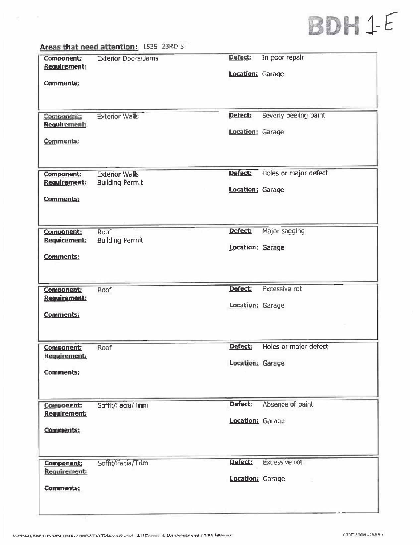## BDH 1-E

|                                                              | Areas that need attention: 1535 23RD ST         |                             |                       |
|--------------------------------------------------------------|-------------------------------------------------|-----------------------------|-----------------------|
| <b>Component:</b><br><b>Requirement:</b><br><b>Comments:</b> | <b>Exterior Doors/Jams</b>                      | Defect:<br>Location: Garage | In poor repair        |
| Component:<br><b>Requirement:</b><br>Comments:               | <b>Exterior Walls</b>                           | Defect:<br>Location: Garage | Severly peeling paint |
| Component:<br><b>Requirement:</b><br><b>Comments:</b>        | <b>Exterior Walls</b><br><b>Building Permit</b> | Defect:<br>Location: Garage | Holes or major defect |
| Component:<br><b>Requirement:</b><br><b>Comments:</b>        | Roof<br><b>Building Permit</b>                  | Defect:<br>Location: Garage | Major sagging         |
| Component:<br>Requirement:<br><b>Comments:</b>               | Roof                                            | Defect:<br>Location: Garage | <b>Excessive rot</b>  |
| Component:<br>Requirement:<br><b>Comments:</b>               | Roof                                            | Defect;<br>Location: Garage | Holes or major defect |
| Component:<br><b>Requirement:</b><br>Comments:               | Soffit/Facia/Trim                               | Defect:<br>Location: Garage | Absence of paint      |
| Component;<br>Requirement:<br>Comments:                      | Soffit/Facia/Trim                               | Defect:<br>Location: Garage | <b>Excessive rot</b>  |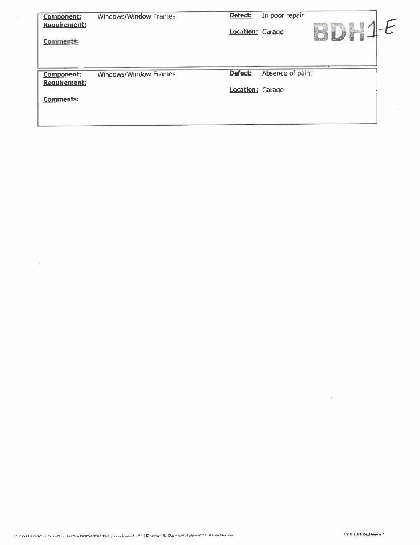| <b>Component:</b>                | Windows/Window Frames | Defect:          | In poor repair   |       |
|----------------------------------|-----------------------|------------------|------------------|-------|
| <b>Requirement:</b><br>Comments: |                       | Location: Garage |                  | Bir I |
| Component:                       | Windows/Window Frames | Defect:          | Absence of paint |       |
| Requirement:                     |                       | Location: Garage |                  |       |
| <b>Comments:</b>                 |                       |                  |                  |       |

 $\mathcal{A}$ 

 $\mathcal{P}$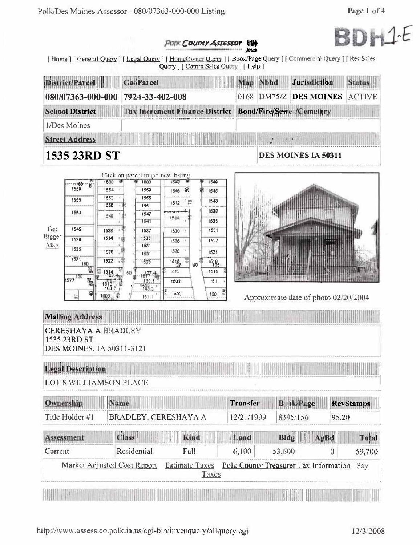